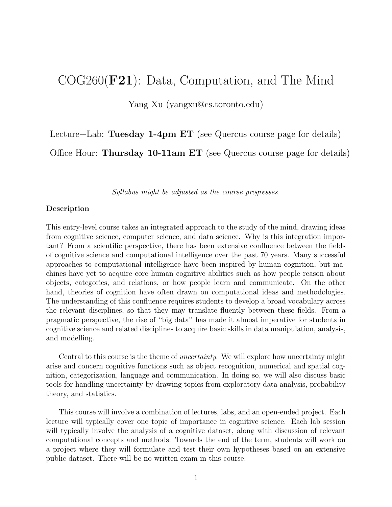# COG260(F21): Data, Computation, and The Mind

Yang Xu (yangxu@cs.toronto.edu)

Lecture+Lab: Tuesday 1-4pm ET (see Quercus course page for details)

Office Hour: Thursday 10-11am ET (see Quercus course page for details)

Syllabus might be adjusted as the course progresses.

#### Description

This entry-level course takes an integrated approach to the study of the mind, drawing ideas from cognitive science, computer science, and data science. Why is this integration important? From a scientific perspective, there has been extensive confluence between the fields of cognitive science and computational intelligence over the past 70 years. Many successful approaches to computational intelligence have been inspired by human cognition, but machines have yet to acquire core human cognitive abilities such as how people reason about objects, categories, and relations, or how people learn and communicate. On the other hand, theories of cognition have often drawn on computational ideas and methodologies. The understanding of this confluence requires students to develop a broad vocabulary across the relevant disciplines, so that they may translate fluently between these fields. From a pragmatic perspective, the rise of "big data" has made it almost imperative for students in cognitive science and related disciplines to acquire basic skills in data manipulation, analysis, and modelling.

Central to this course is the theme of uncertainty. We will explore how uncertainty might arise and concern cognitive functions such as object recognition, numerical and spatial cognition, categorization, language and communication. In doing so, we will also discuss basic tools for handling uncertainty by drawing topics from exploratory data analysis, probability theory, and statistics.

This course will involve a combination of lectures, labs, and an open-ended project. Each lecture will typically cover one topic of importance in cognitive science. Each lab session will typically involve the analysis of a cognitive dataset, along with discussion of relevant computational concepts and methods. Towards the end of the term, students will work on a project where they will formulate and test their own hypotheses based on an extensive public dataset. There will be no written exam in this course.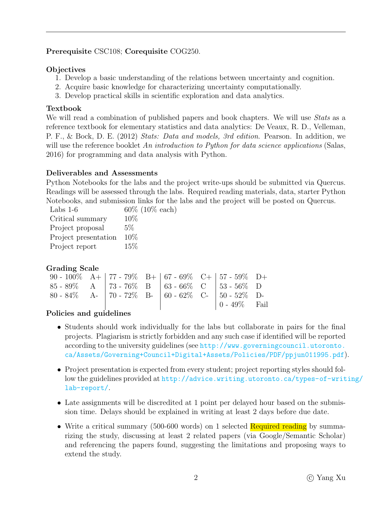## Prerequisite CSC108; Corequisite COG250.

#### **Objectives**

- 1. Develop a basic understanding of the relations between uncertainty and cognition.
- 2. Acquire basic knowledge for characterizing uncertainty computationally.
- 3. Develop practical skills in scientific exploration and data analytics.

## Textbook

We will read a combination of published papers and book chapters. We will use *Stats* as a reference textbook for elementary statistics and data analytics: De Veaux, R. D., Velleman, P. F., & Bock, D. E. (2012) Stats: Data and models, 3rd edition. Pearson. In addition, we will use the reference booklet An introduction to Python for data science applications (Salas, 2016) for programming and data analysis with Python.

#### Deliverables and Assessments

Python Notebooks for the labs and the project write-ups should be submitted via Quercus. Readings will be assessed through the labs. Required reading materials, data, starter Python Notebooks, and submission links for the labs and the project will be posted on Quercus.

| Labs $1-6$           | $60\%$ ( |
|----------------------|----------|
| Critical summary     | 10%      |
| Project proposal     | 5%       |
| Project presentation | 10\%     |
| Project report       | 15%      |

## Grading Scale

| 90 - 100% A+   77 - 79% B+   67 - 69% C+   57 - 59% D+ |  |  |                                                         |  |
|--------------------------------------------------------|--|--|---------------------------------------------------------|--|
| 85 - 89% A   73 - 76% B   63 - 66% C   53 - 56% D      |  |  |                                                         |  |
| 80 - 84% A-   70 - 72% B-   60 - 62% C-   50 - 52% D-  |  |  |                                                         |  |
|                                                        |  |  | $\begin{bmatrix} 0 & -49\% & \text{Fail} \end{bmatrix}$ |  |

 $10\%$  each)

## Policies and guidelines

- Students should work individually for the labs but collaborate in pairs for the final projects. Plagiarism is strictly forbidden and any such case if identified will be reported according to the university guidelines (see [http://www.governingcouncil.utoronto.](http://www.governingcouncil.utoronto.ca/Assets/Governing+Council+Digital+Assets/Policies/PDF/ppjun011995.pdf) [ca/Assets/Governing+Council+Digital+Assets/Policies/PDF/ppjun011995.pdf](http://www.governingcouncil.utoronto.ca/Assets/Governing+Council+Digital+Assets/Policies/PDF/ppjun011995.pdf)).
- Project presentation is expected from every student; project reporting styles should follow the guidelines provided at [http://advice.writing.utoronto.ca/types-of-writ](http://advice.writing.utoronto.ca/types-of-writing/lab-report/)ing/ [lab-report/](http://advice.writing.utoronto.ca/types-of-writing/lab-report/).
- Late assignments will be discredited at 1 point per delayed hour based on the submission time. Delays should be explained in writing at least 2 days before due date.
- Write a critical summary (500-600 words) on 1 selected Required reading by summarizing the study, discussing at least 2 related papers (via Google/Semantic Scholar) and referencing the papers found, suggesting the limitations and proposing ways to extend the study.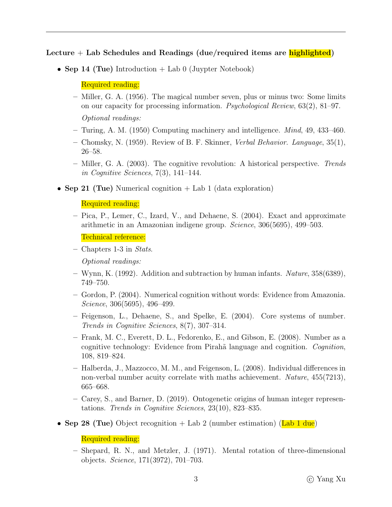Lecture  $+$  Lab Schedules and Readings (due/required items are highlighted)

• Sep 14 (Tue) Introduction  $+$  Lab 0 (Juypter Notebook)

Required reading:

- Miller, G. A. (1956). The magical number seven, plus or minus two: Some limits on our capacity for processing information. Psychological Review, 63(2), 81–97. Optional readings:
- Turing, A. M. (1950) Computing machinery and intelligence. Mind, 49, 433–460.
- Chomsky, N. (1959). Review of B. F. Skinner, Verbal Behavior. Language, 35(1), 26–58.
- Miller, G. A. (2003). The cognitive revolution: A historical perspective. Trends in Cognitive Sciences,  $7(3)$ , 141–144.
- Sep 21 (Tue) Numerical cognition  $+$  Lab 1 (data exploration)

Required reading:

– Pica, P., Lemer, C., Izard, V., and Dehaene, S. (2004). Exact and approximate arithmetic in an Amazonian indigene group. Science, 306(5695), 499–503.

Technical reference:

– Chapters 1-3 in Stats.

Optional readings:

- Wynn, K. (1992). Addition and subtraction by human infants. Nature,  $358(6389)$ , 749–750.
- Gordon, P. (2004). Numerical cognition without words: Evidence from Amazonia. Science, 306(5695), 496–499.
- Feigenson, L., Dehaene, S., and Spelke, E. (2004). Core systems of number. Trends in Cognitive Sciences, 8(7), 307–314.
- Frank, M. C., Everett, D. L., Fedorenko, E., and Gibson, E. (2008). Number as a cognitive technology: Evidence from Pirahã language and cognition. Cognition, 108, 819–824.
- Halberda, J., Mazzocco, M. M., and Feigenson, L. (2008). Individual differences in non-verbal number acuity correlate with maths achievement. Nature, 455(7213), 665–668.
- Carey, S., and Barner, D. (2019). Ontogenetic origins of human integer representations. Trends in Cognitive Sciences, 23(10), 823–835.
- Sep 28 (Tue) Object recognition  $+$  Lab 2 (number estimation) (Lab 1 due)

Required reading:

– Shepard, R. N., and Metzler, J. (1971). Mental rotation of three-dimensional objects. Science, 171(3972), 701–703.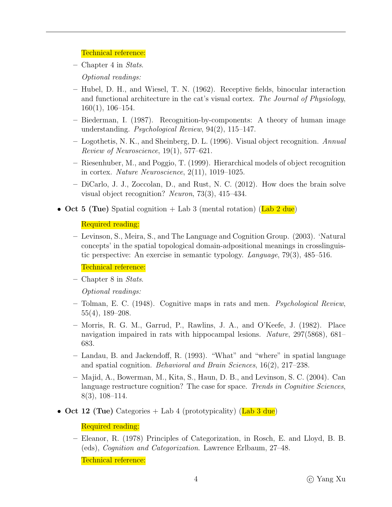#### Technical reference:

 $-$  Chapter 4 in Stats.

Optional readings:

- Hubel, D. H., and Wiesel, T. N. (1962). Receptive fields, binocular interaction and functional architecture in the cat's visual cortex. The Journal of Physiology, 160(1), 106–154.
- Biederman, I. (1987). Recognition-by-components: A theory of human image understanding. Psychological Review, 94(2), 115–147.
- Logothetis, N. K., and Sheinberg, D. L. (1996). Visual object recognition. Annual Review of Neuroscience, 19(1), 577–621.
- Riesenhuber, M., and Poggio, T. (1999). Hierarchical models of object recognition in cortex. Nature Neuroscience, 2(11), 1019–1025.
- DiCarlo, J. J., Zoccolan, D., and Rust, N. C. (2012). How does the brain solve visual object recognition? Neuron, 73(3), 415–434.
- Oct 5 (Tue) Spatial cognition + Lab 3 (mental rotation) (Lab  $2$  due)

#### Required reading:

– Levinson, S., Meira, S., and The Language and Cognition Group. (2003). 'Natural concepts' in the spatial topological domain-adpositional meanings in crosslinguistic perspective: An exercise in semantic typology. Language, 79(3), 485–516.

Technical reference:

– Chapter 8 in Stats.

Optional readings:

- Tolman, E. C. (1948). Cognitive maps in rats and men. Psychological Review, 55(4), 189–208.
- Morris, R. G. M., Garrud, P., Rawlins, J. A., and O'Keefe, J. (1982). Place navigation impaired in rats with hippocampal lesions. Nature, 297(5868), 681– 683.
- Landau, B. and Jackendoff, R. (1993). "What" and "where" in spatial language and spatial cognition. Behavioral and Brain Sciences, 16(2), 217–238.
- Majid, A., Bowerman, M., Kita, S., Haun, D. B., and Levinson, S. C. (2004). Can language restructure cognition? The case for space. Trends in Cognitive Sciences, 8(3), 108–114.
- Oct 12 (Tue) Categories + Lab 4 (prototypicality) (Lab  $3$  due)

Required reading:

– Eleanor, R. (1978) Principles of Categorization, in Rosch, E. and Lloyd, B. B. (eds), Cognition and Categorization. Lawrence Erlbaum, 27–48.

Technical reference: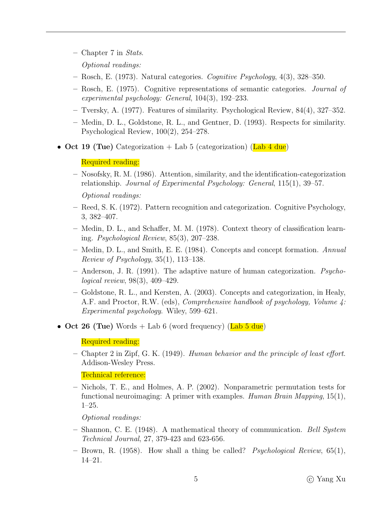- Chapter 7 in Stats.
	- Optional readings:
- Rosch, E. (1973). Natural categories. Cognitive Psychology,  $4(3)$ ,  $328-350$ .
- Rosch, E. (1975). Cognitive representations of semantic categories. Journal of experimental psychology: General, 104(3), 192–233.
- Tversky, A. (1977). Features of similarity. Psychological Review, 84(4), 327–352.
- Medin, D. L., Goldstone, R. L., and Gentner, D. (1993). Respects for similarity. Psychological Review, 100(2), 254–278.
- Oct 19 (Tue) Categorization + Lab 5 (categorization) (Lab  $4 \text{ due}$ )

#### Required reading:

– Nosofsky, R. M. (1986). Attention, similarity, and the identification-categorization relationship. Journal of Experimental Psychology: General, 115(1), 39–57.

Optional readings:

- Reed, S. K. (1972). Pattern recognition and categorization. Cognitive Psychology, 3, 382–407.
- Medin, D. L., and Schaffer, M. M. (1978). Context theory of classification learning. Psychological Review, 85(3), 207–238.
- Medin, D. L., and Smith, E. E. (1984). Concepts and concept formation. Annual Review of Psychology,  $35(1)$ ,  $113-138$ .
- Anderson, J. R. (1991). The adaptive nature of human categorization. Psychological review, 98(3), 409–429.
- Goldstone, R. L., and Kersten, A. (2003). Concepts and categorization, in Healy, A.F. and Proctor, R.W. (eds), Comprehensive handbook of psychology, Volume 4: Experimental psychology. Wiley, 599–621.
- Oct 26 (Tue) Words + Lab 6 (word frequency) (Lab  $5$  due)

Required reading:

– Chapter 2 in Zipf, G. K. (1949). Human behavior and the principle of least effort. Addison-Wesley Press.

Technical reference:

– Nichols, T. E., and Holmes, A. P. (2002). Nonparametric permutation tests for functional neuroimaging: A primer with examples. Human Brain Mapping, 15(1), 1–25.

Optional readings:

- Shannon, C. E. (1948). A mathematical theory of communication. Bell System Technical Journal, 27, 379-423 and 623-656.
- Brown, R. (1958). How shall a thing be called? Psychological Review, 65(1), 14–21.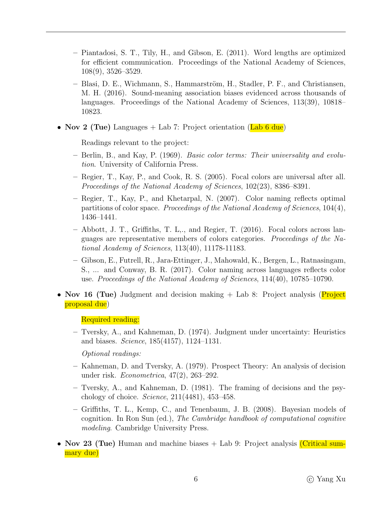- Piantadosi, S. T., Tily, H., and Gibson, E. (2011). Word lengths are optimized for efficient communication. Proceedings of the National Academy of Sciences, 108(9), 3526–3529.
- Blasi, D. E., Wichmann, S., Hammarström, H., Stadler, P. F., and Christiansen, M. H. (2016). Sound-meaning association biases evidenced across thousands of languages. Proceedings of the National Academy of Sciences, 113(39), 10818– 10823.
- Nov 2 (Tue) Languages  $+$  Lab 7: Project orientation (Lab 6 due)

Readings relevant to the project:

- Berlin, B., and Kay, P. (1969). Basic color terms: Their universality and evolution. University of California Press.
- Regier, T., Kay, P., and Cook, R. S. (2005). Focal colors are universal after all. Proceedings of the National Academy of Sciences, 102(23), 8386–8391.
- Regier, T., Kay, P., and Khetarpal, N. (2007). Color naming reflects optimal partitions of color space. Proceedings of the National Academy of Sciences, 104(4), 1436–1441.
- Abbott, J. T., Griffiths, T. L,., and Regier, T. (2016). Focal colors across languages are representative members of colors categories. Proceedings of the National Academy of Sciences, 113(40), 11178-11183.
- Gibson, E., Futrell, R., Jara-Ettinger, J., Mahowald, K., Bergen, L., Ratnasingam, S., ... and Conway, B. R. (2017). Color naming across languages reflects color use. Proceedings of the National Academy of Sciences, 114(40), 10785–10790.
- Nov 16 (Tue) Judgment and decision making + Lab 8: Project analysis (Project proposal due)

Required reading:

– Tversky, A., and Kahneman, D. (1974). Judgment under uncertainty: Heuristics and biases. Science, 185(4157), 1124–1131.

Optional readings:

- Kahneman, D. and Tversky, A. (1979). Prospect Theory: An analysis of decision under risk. Econometrica, 47(2), 263–292.
- Tversky, A., and Kahneman, D. (1981). The framing of decisions and the psychology of choice. Science, 211(4481), 453–458.
- Griffiths, T. L., Kemp, C., and Tenenbaum, J. B. (2008). Bayesian models of cognition. In Ron Sun (ed.), The Cambridge handbook of computational cognitive modeling. Cambridge University Press.
- Nov 23 (Tue) Human and machine biases + Lab 9: Project analysis (Critical summary due)